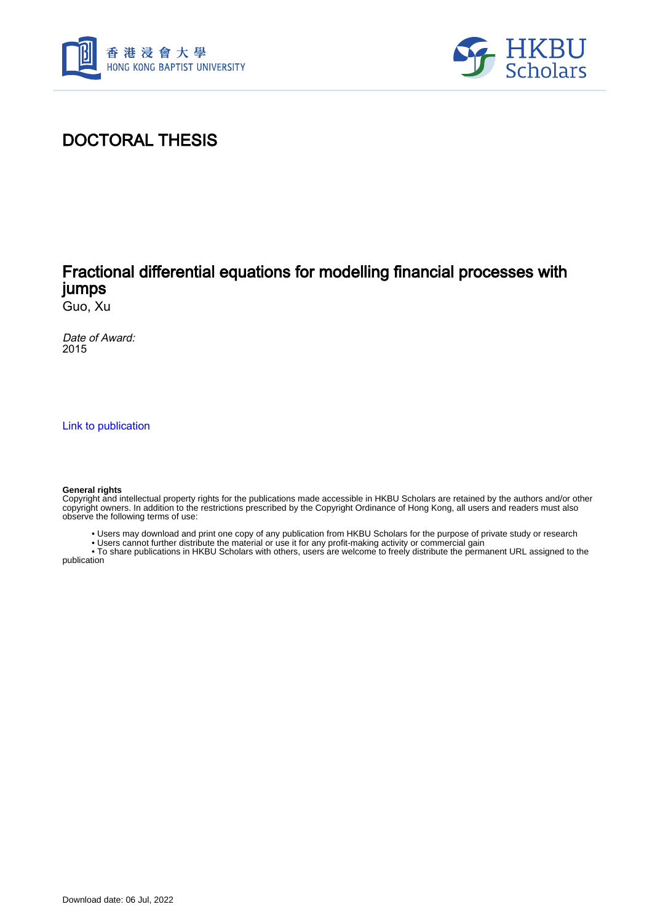



## DOCTORAL THESIS

### Fractional differential equations for modelling financial processes with jumps

Guo, Xu

Date of Award: 2015

[Link to publication](https://scholars.hkbu.edu.hk/en/studentTheses/80a64236-ace6-41ee-90ac-84d85ef6f281)

#### **General rights**

Copyright and intellectual property rights for the publications made accessible in HKBU Scholars are retained by the authors and/or other copyright owners. In addition to the restrictions prescribed by the Copyright Ordinance of Hong Kong, all users and readers must also observe the following terms of use:

- Users may download and print one copy of any publication from HKBU Scholars for the purpose of private study or research
- Users cannot further distribute the material or use it for any profit-making activity or commercial gain

 • To share publications in HKBU Scholars with others, users are welcome to freely distribute the permanent URL assigned to the publication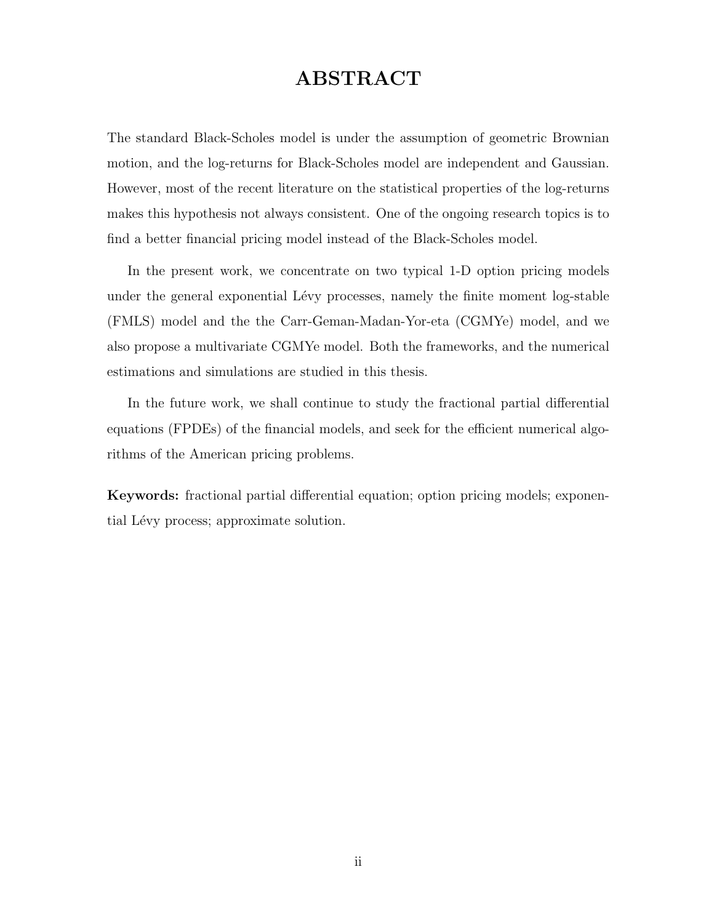# ABSTRACT

The standard Black-Scholes model is under the assumption of geometric Brownian motion, and the log-returns for Black-Scholes model are independent and Gaussian. However, most of the recent literature on the statistical properties of the log-returns makes this hypothesis not always consistent. One of the ongoing research topics is to find a better financial pricing model instead of the Black-Scholes model.

In the present work, we concentrate on two typical 1-D option pricing models under the general exponential Lévy processes, namely the finite moment log-stable (FMLS) model and the the Carr-Geman-Madan-Yor-eta (CGMYe) model, and we also propose a multivariate CGMYe model. Both the frameworks, and the numerical estimations and simulations are studied in this thesis.

In the future work, we shall continue to study the fractional partial differential equations (FPDEs) of the financial models, and seek for the efficient numerical algorithms of the American pricing problems.

Keywords: fractional partial differential equation; option pricing models; exponential Lévy process; approximate solution.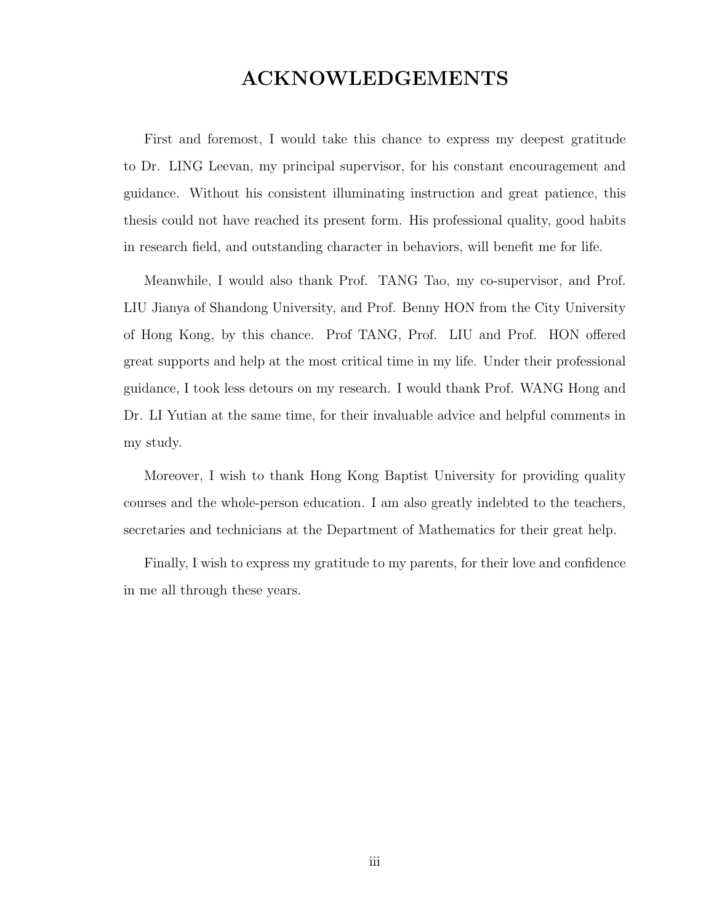### ACKNOWLEDGEMENTS

First and foremost, I would take this chance to express my deepest gratitude to Dr. LING Leevan, my principal supervisor, for his constant encouragement and guidance. Without his consistent illuminating instruction and great patience, this thesis could not have reached its present form. His professional quality, good habits in research field, and outstanding character in behaviors, will benefit me for life.

Meanwhile, I would also thank Prof. TANG Tao, my co-supervisor, and Prof. LIU Jianya of Shandong University, and Prof. Benny HON from the City University of Hong Kong, by this chance. Prof TANG, Prof. LIU and Prof. HON offered great supports and help at the most critical time in my life. Under their professional guidance, I took less detours on my research. I would thank Prof. WANG Hong and Dr. LI Yutian at the same time, for their invaluable advice and helpful comments in my study.

Moreover, I wish to thank Hong Kong Baptist University for providing quality courses and the whole-person education. I am also greatly indebted to the teachers, secretaries and technicians at the Department of Mathematics for their great help.

Finally, I wish to express my gratitude to my parents, for their love and confidence in me all through these years.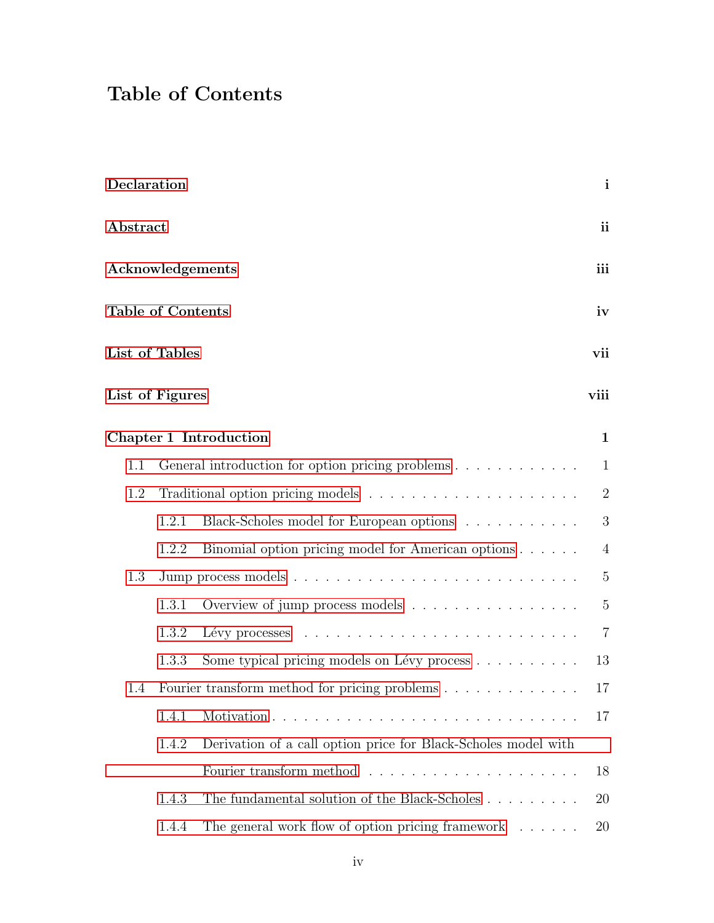# Table of Contents

| Declaration      |                                               |                                                                            | $\mathbf{i}$     |  |
|------------------|-----------------------------------------------|----------------------------------------------------------------------------|------------------|--|
| ${\bf Abstract}$ |                                               |                                                                            | <i>ii</i>        |  |
| Acknowledgements |                                               |                                                                            |                  |  |
|                  | <b>Table of Contents</b>                      |                                                                            | iv               |  |
|                  | List of Tables                                |                                                                            | vii              |  |
|                  | List of Figures                               |                                                                            | viii             |  |
|                  |                                               | Chapter 1 Introduction                                                     | $\mathbf{1}$     |  |
| 1.1              |                                               | General introduction for option pricing problems $\dots \dots \dots \dots$ | $\mathbf{1}$     |  |
| 1.2              |                                               |                                                                            | $\sqrt{2}$       |  |
|                  | 1.2.1                                         | Black-Scholes model for European options                                   | $\boldsymbol{3}$ |  |
|                  | 1.2.2                                         | Binomial option pricing model for American options                         | $\overline{4}$   |  |
| 1.3              |                                               |                                                                            | $\mathbf 5$      |  |
|                  | 1.3.1                                         | Overview of jump process models                                            | $\mathbf 5$      |  |
|                  | 1.3.2                                         |                                                                            | $\overline{7}$   |  |
|                  | 1.3.3                                         | Some typical pricing models on Lévy process                                | 13               |  |
| 1.4              | Fourier transform method for pricing problems |                                                                            | 17               |  |
|                  | 1.4.1                                         |                                                                            | 17               |  |
|                  | 1.4.2                                         | Derivation of a call option price for Black-Scholes model with             |                  |  |
|                  |                                               |                                                                            | 18               |  |
|                  | 1.4.3                                         | The fundamental solution of the Black-Scholes                              | 20               |  |
|                  | 1.4.4                                         | The general work flow of option pricing framework $\ldots \ldots$          | 20               |  |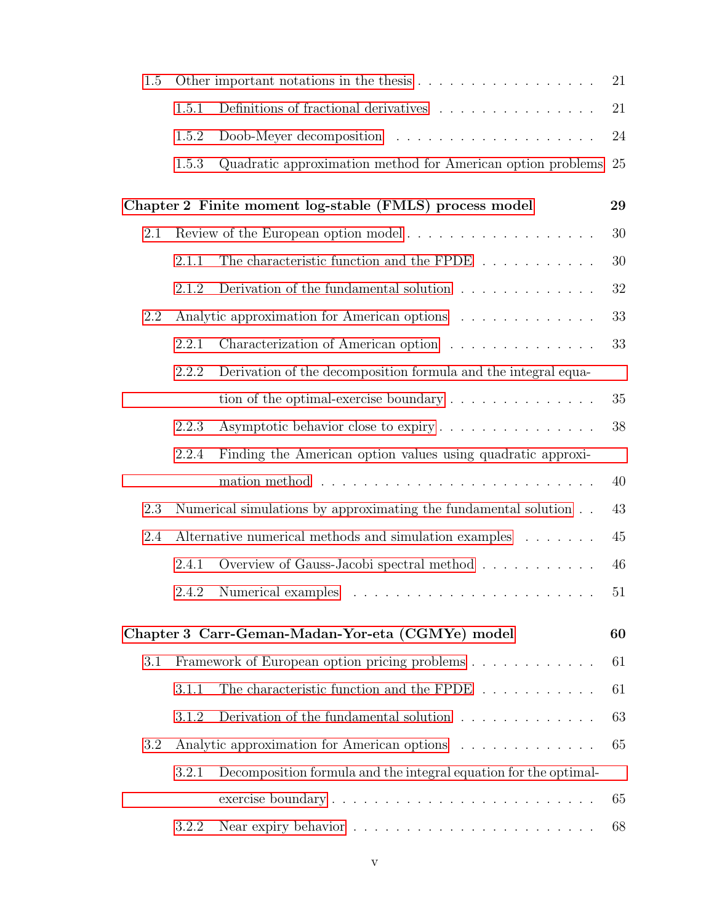| 1.5 |       |                                                                                  | 21     |  |
|-----|-------|----------------------------------------------------------------------------------|--------|--|
|     | 1.5.1 | Definitions of fractional derivatives $\ldots \ldots \ldots \ldots \ldots$       | $21\,$ |  |
|     | 1.5.2 |                                                                                  | 24     |  |
|     | 1.5.3 | Quadratic approximation method for American option problems                      | 25     |  |
|     |       | Chapter 2 Finite moment log-stable (FMLS) process model                          | 29     |  |
| 2.1 |       |                                                                                  |        |  |
|     | 2.1.1 | The characteristic function and the FPDE $\;\ldots\; \ldots\; \ldots\; \ldots\;$ | 30     |  |
|     | 2.1.2 | Derivation of the fundamental solution $\ldots \ldots \ldots \ldots$             | 32     |  |
| 2.2 |       | Analytic approximation for American options                                      | 33     |  |
|     | 2.2.1 | Characterization of American option                                              | 33     |  |
|     | 2.2.2 | Derivation of the decomposition formula and the integral equa-                   |        |  |
|     |       | tion of the optimal-exercise boundary $\dots \dots \dots \dots \dots$            | 35     |  |
|     | 2.2.3 | Asymptotic behavior close to expiry                                              | 38     |  |
|     | 2.2.4 | Finding the American option values using quadratic approxi-                      |        |  |
|     |       |                                                                                  | 40     |  |
| 2.3 |       | Numerical simulations by approximating the fundamental solution $\,$ . $\,$ .    | 43     |  |
| 2.4 |       | Alternative numerical methods and simulation examples                            |        |  |
|     | 2.4.1 | Overview of Gauss-Jacobi spectral method                                         | 46     |  |
|     |       | 2.4.2 Numerical examples                                                         | 51     |  |
|     |       | Chapter 3 Carr-Geman-Madan-Yor-eta (CGMYe) model                                 | 60     |  |
| 3.1 |       | Framework of European option pricing problems                                    | 61     |  |
|     | 3.1.1 | The characteristic function and the FPDE                                         | 61     |  |
|     | 3.1.2 | Derivation of the fundamental solution $\ldots \ldots \ldots \ldots$             | 63     |  |
| 3.2 |       | Analytic approximation for American options                                      |        |  |
|     | 3.2.1 | Decomposition formula and the integral equation for the optimal-                 |        |  |
|     |       |                                                                                  | 65     |  |
|     | 3.2.2 |                                                                                  | 68     |  |